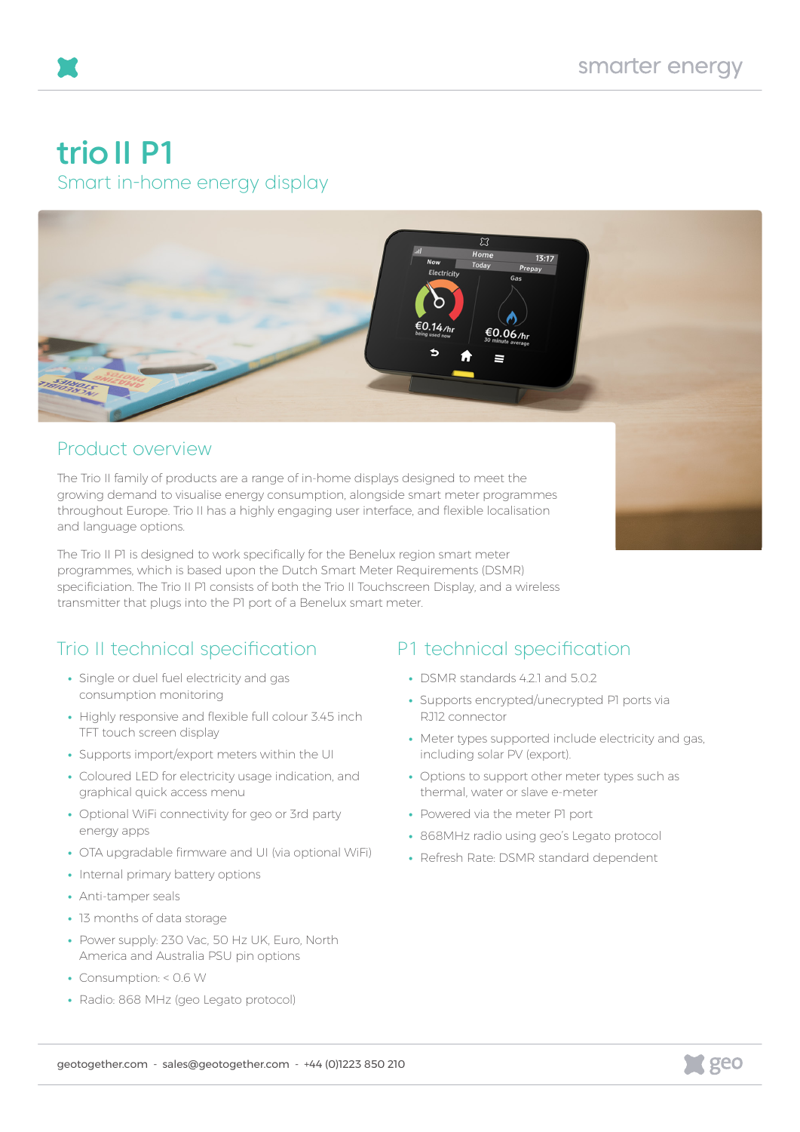# trio II P1

Smart in-home energy display



### Product overview

The Trio II family of products are a range of in-home displays designed to meet the growing demand to visualise energy consumption, alongside smart meter programmes throughout Europe. Trio II has a highly engaging user interface, and flexible localisation and language options.

The Trio II P1 is designed to work specifically for the Benelux region smart meter programmes, which is based upon the Dutch Smart Meter Requirements (DSMR) specificiation. The Trio II P1 consists of both the Trio II Touchscreen Display, and a wireless transmitter that plugs into the P1 port of a Benelux smart meter.

## Trio II technical specification

- **•** Single or duel fuel electricity and gas consumption monitoring
- **•** Highly responsive and flexible full colour 3.45 inch TFT touch screen display
- **•** Supports import/export meters within the UI
- **•** Coloured LED for electricity usage indication, and graphical quick access menu
- **•** Optional WiFi connectivity for geo or 3rd party energy apps
- **•** OTA upgradable firmware and UI (via optional WiFi)
- **•** Internal primary battery options
- **•** Anti-tamper seals
- **•** 13 months of data storage
- **•** Power supply: 230 Vac, 50 Hz UK, Euro, North America and Australia PSU pin options
- **•** Consumption: < 0.6 W
- **•** Radio: 868 MHz (geo Legato protocol)

### P1 technical specification

- **•** DSMR standards 4.2.1 and 5.0.2
- **•** Supports encrypted/unecrypted P1 ports via RJ12 connector
- **•** Meter types supported include electricity and gas, including solar PV (export).
- **•** Options to support other meter types such as thermal, water or slave e-meter
- **•** Powered via the meter P1 port
- **•** 868MHz radio using geo's Legato protocol
- **•** Refresh Rate: DSMR standard dependent